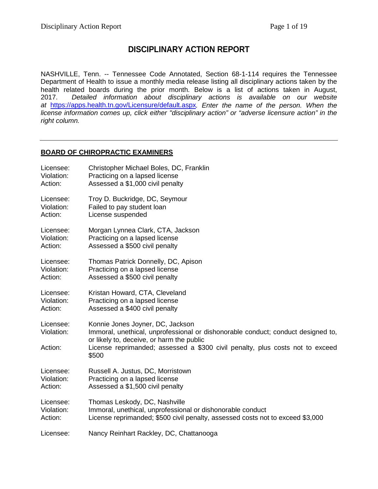# **DISCIPLINARY ACTION REPORT**

NASHVILLE, Tenn. -- Tennessee Code Annotated, Section 68-1-114 requires the Tennessee Department of Health to issue a monthly media release listing all disciplinary actions taken by the health related boards during the prior month. Below is a list of actions taken in August,<br>2017. Detailed information about disciplinary actions is available on our website 2017. *Detailed information about disciplinary actions is available on our website at* <https://apps.health.tn.gov/Licensure/default.aspx>*. Enter the name of the person. When the license information comes up, click either "disciplinary action" or "adverse licensure action" in the right column.*

### **BOARD OF CHIROPRACTIC EXAMINERS**

| Licensee:                          | Christopher Michael Boles, DC, Franklin                                                                                                                                                                                                                     |
|------------------------------------|-------------------------------------------------------------------------------------------------------------------------------------------------------------------------------------------------------------------------------------------------------------|
| Violation:                         | Practicing on a lapsed license                                                                                                                                                                                                                              |
| Action:                            | Assessed a \$1,000 civil penalty                                                                                                                                                                                                                            |
| Licensee:                          | Troy D. Buckridge, DC, Seymour                                                                                                                                                                                                                              |
| Violation:                         | Failed to pay student loan                                                                                                                                                                                                                                  |
| Action:                            | License suspended                                                                                                                                                                                                                                           |
| Licensee:                          | Morgan Lynnea Clark, CTA, Jackson                                                                                                                                                                                                                           |
| Violation:                         | Practicing on a lapsed license                                                                                                                                                                                                                              |
| Action:                            | Assessed a \$500 civil penalty                                                                                                                                                                                                                              |
| Licensee:                          | Thomas Patrick Donnelly, DC, Apison                                                                                                                                                                                                                         |
| Violation:                         | Practicing on a lapsed license                                                                                                                                                                                                                              |
| Action:                            | Assessed a \$500 civil penalty                                                                                                                                                                                                                              |
| Licensee:                          | Kristan Howard, CTA, Cleveland                                                                                                                                                                                                                              |
| Violation:                         | Practicing on a lapsed license                                                                                                                                                                                                                              |
| Action:                            | Assessed a \$400 civil penalty                                                                                                                                                                                                                              |
| Licensee:<br>Violation:<br>Action: | Konnie Jones Joyner, DC, Jackson<br>Immoral, unethical, unprofessional or dishonorable conduct; conduct designed to,<br>or likely to, deceive, or harm the public<br>License reprimanded; assessed a \$300 civil penalty, plus costs not to exceed<br>\$500 |
| Licensee:                          | Russell A. Justus, DC, Morristown                                                                                                                                                                                                                           |
| Violation:                         | Practicing on a lapsed license                                                                                                                                                                                                                              |
| Action:                            | Assessed a \$1,500 civil penalty                                                                                                                                                                                                                            |
| Licensee:                          | Thomas Leskody, DC, Nashville                                                                                                                                                                                                                               |
| Violation:                         | Immoral, unethical, unprofessional or dishonorable conduct                                                                                                                                                                                                  |
| Action:                            | License reprimanded; \$500 civil penalty, assessed costs not to exceed \$3,000                                                                                                                                                                              |
| Licensee:                          | Nancy Reinhart Rackley, DC, Chattanooga                                                                                                                                                                                                                     |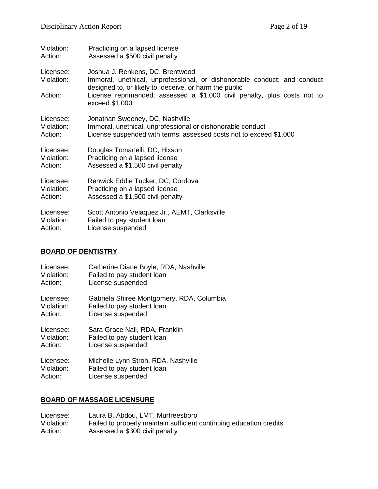| Violation:              | Practicing on a lapsed license                                                                                                                                         |
|-------------------------|------------------------------------------------------------------------------------------------------------------------------------------------------------------------|
| Action:                 | Assessed a \$500 civil penalty                                                                                                                                         |
| Licensee:<br>Violation: | Joshua J. Renkens, DC, Brentwood<br>Immoral, unethical, unprofessional, or dishonorable conduct; and conduct<br>designed to, or likely to, deceive, or harm the public |
| Action:                 | License reprimanded; assessed a \$1,000 civil penalty, plus costs not to<br>exceed \$1,000                                                                             |
| Licensee:               | Jonathan Sweeney, DC, Nashville                                                                                                                                        |
| Violation:              | Immoral, unethical, unprofessional or dishonorable conduct                                                                                                             |
| Action:                 | License suspended with terms; assessed costs not to exceed \$1,000                                                                                                     |
| Licensee:               | Douglas Tomanelli, DC, Hixson                                                                                                                                          |
| Violation:              | Practicing on a lapsed license                                                                                                                                         |
| Action:                 | Assessed a \$1,500 civil penalty                                                                                                                                       |
| Licensee:               | Renwick Eddie Tucker, DC, Cordova                                                                                                                                      |
| Violation:              | Practicing on a lapsed license                                                                                                                                         |
| Action:                 | Assessed a \$1,500 civil penalty                                                                                                                                       |
| Licensee:               | Scott Antonio Velaquez Jr., AEMT, Clarksville                                                                                                                          |
| Violation:              | Failed to pay student loan                                                                                                                                             |
| Action:                 | License suspended                                                                                                                                                      |

#### **BOARD OF DENTISTRY**

| Licensee:  | Catherine Diane Boyle, RDA, Nashville     |
|------------|-------------------------------------------|
| Violation: | Failed to pay student loan                |
| Action:    | License suspended                         |
| Licensee:  | Gabriela Shiree Montgomery, RDA, Columbia |
| Violation: | Failed to pay student loan                |
| Action:    | License suspended                         |
| Licensee:  | Sara Grace Nall, RDA, Franklin            |
| Violation: | Failed to pay student loan                |
| Action:    | License suspended                         |
| Licensee:  | Michelle Lynn Stroh, RDA, Nashville       |
| Violation: | Failed to pay student loan                |
| Action:    | License suspended                         |

## **BOARD OF MASSAGE LICENSURE**

Licensee: Laura B. Abdou, LMT, Murfreesboro<br>Violation: Failed to properly maintain sufficient Violation: Failed to properly maintain sufficient continuing education credits<br>Action: Assessed a \$300 civil penalty Assessed a \$300 civil penalty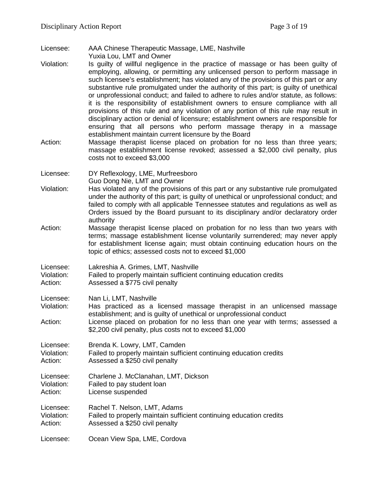- Licensee: AAA Chinese Therapeutic Massage, LME, Nashville Yuxia Lou, LMT and Owner
- Violation: Is guilty of willful negligence in the practice of massage or has been guilty of employing, allowing, or permitting any unlicensed person to perform massage in such licensee's establishment; has violated any of the provisions of this part or any substantive rule promulgated under the authority of this part; is guilty of unethical or unprofessional conduct; and failed to adhere to rules and/or statute, as follows: it is the responsibility of establishment owners to ensure compliance with all provisions of this rule and any violation of any portion of this rule may result in disciplinary action or denial of licensure; establishment owners are responsible for ensuring that all persons who perform massage therapy in a massage establishment maintain current licensure by the Board
- Action: Massage therapist license placed on probation for no less than three years; massage establishment license revoked; assessed a \$2,000 civil penalty, plus costs not to exceed \$3,000
- Licensee: DY Reflexology, LME, Murfreesboro Guo Dong Nie, LMT and Owner
- Violation: Has violated any of the provisions of this part or any substantive rule promulgated under the authority of this part; is guilty of unethical or unprofessional conduct; and failed to comply with all applicable Tennessee statutes and regulations as well as Orders issued by the Board pursuant to its disciplinary and/or declaratory order authority
- Action: Massage therapist license placed on probation for no less than two years with terms; massage establishment license voluntarily surrendered; may never apply for establishment license again; must obtain continuing education hours on the topic of ethics; assessed costs not to exceed \$1,000
- Licensee: Lakreshia A. Grimes, LMT, Nashville
- Violation: Failed to properly maintain sufficient continuing education credits
- Action: Assessed a \$775 civil penalty
- Licensee: Nan Li, LMT, Nashville
- Violation: Has practiced as a licensed massage therapist in an unlicensed massage establishment; and is guilty of unethical or unprofessional conduct
- Action: License placed on probation for no less than one year with terms; assessed a \$2,200 civil penalty, plus costs not to exceed \$1,000

Licensee: Brenda K. Lowry, LMT, Camden Violation: Failed to properly maintain sufficient continuing education credits Action: Assessed a \$250 civil penalty

- Licensee: Charlene J. McClanahan, LMT, Dickson Violation: Failed to pay student loan
- Action: License suspended
- Licensee: Rachel T. Nelson, LMT, Adams Violation: Failed to properly maintain sufficient continuing education credits Action: Assessed a \$250 civil penalty
- Licensee: Ocean View Spa, LME, Cordova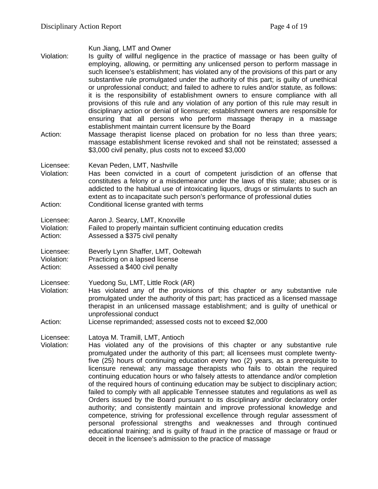| Violation:                         | Kun Jiang, LMT and Owner<br>Is guilty of willful negligence in the practice of massage or has been guilty of<br>employing, allowing, or permitting any unlicensed person to perform massage in<br>such licensee's establishment; has violated any of the provisions of this part or any<br>substantive rule promulgated under the authority of this part; is guilty of unethical<br>or unprofessional conduct; and failed to adhere to rules and/or statute, as follows:<br>it is the responsibility of establishment owners to ensure compliance with all<br>provisions of this rule and any violation of any portion of this rule may result in<br>disciplinary action or denial of licensure; establishment owners are responsible for<br>ensuring that all persons who perform massage therapy in a massage<br>establishment maintain current licensure by the Board                                                                                                                                                                                                                                                      |
|------------------------------------|-------------------------------------------------------------------------------------------------------------------------------------------------------------------------------------------------------------------------------------------------------------------------------------------------------------------------------------------------------------------------------------------------------------------------------------------------------------------------------------------------------------------------------------------------------------------------------------------------------------------------------------------------------------------------------------------------------------------------------------------------------------------------------------------------------------------------------------------------------------------------------------------------------------------------------------------------------------------------------------------------------------------------------------------------------------------------------------------------------------------------------|
| Action:                            | Massage therapist license placed on probation for no less than three years;<br>massage establishment license revoked and shall not be reinstated; assessed a<br>\$3,000 civil penalty, plus costs not to exceed \$3,000                                                                                                                                                                                                                                                                                                                                                                                                                                                                                                                                                                                                                                                                                                                                                                                                                                                                                                       |
| Licensee:<br>Violation:<br>Action: | Kevan Peden, LMT, Nashville<br>Has been convicted in a court of competent jurisdiction of an offense that<br>constitutes a felony or a misdemeanor under the laws of this state; abuses or is<br>addicted to the habitual use of intoxicating liquors, drugs or stimulants to such an<br>extent as to incapacitate such person's performance of professional duties<br>Conditional license granted with terms                                                                                                                                                                                                                                                                                                                                                                                                                                                                                                                                                                                                                                                                                                                 |
| Licensee:<br>Violation:<br>Action: | Aaron J. Searcy, LMT, Knoxville<br>Failed to properly maintain sufficient continuing education credits<br>Assessed a \$375 civil penalty                                                                                                                                                                                                                                                                                                                                                                                                                                                                                                                                                                                                                                                                                                                                                                                                                                                                                                                                                                                      |
| Licensee:<br>Violation:<br>Action: | Beverly Lynn Shaffer, LMT, Ooltewah<br>Practicing on a lapsed license<br>Assessed a \$400 civil penalty                                                                                                                                                                                                                                                                                                                                                                                                                                                                                                                                                                                                                                                                                                                                                                                                                                                                                                                                                                                                                       |
| Licensee:<br>Violation:<br>Action: | Yuedong Su, LMT, Little Rock (AR)<br>Has violated any of the provisions of this chapter or any substantive rule<br>promulgated under the authority of this part; has practiced as a licensed massage<br>therapist in an unlicensed massage establishment; and is guilty of unethical or<br>unprofessional conduct<br>License reprimanded; assessed costs not to exceed \$2,000                                                                                                                                                                                                                                                                                                                                                                                                                                                                                                                                                                                                                                                                                                                                                |
| Licensee:<br>Violation:            | Latoya M. Tramill, LMT, Antioch<br>Has violated any of the provisions of this chapter or any substantive rule<br>promulgated under the authority of this part; all licensees must complete twenty-<br>five (25) hours of continuing education every two (2) years, as a prerequisite to<br>licensure renewal; any massage therapists who fails to obtain the required<br>continuing education hours or who falsely attests to attendance and/or completion<br>of the required hours of continuing education may be subject to disciplinary action;<br>failed to comply with all applicable Tennessee statutes and regulations as well as<br>Orders issued by the Board pursuant to its disciplinary and/or declaratory order<br>authority; and consistently maintain and improve professional knowledge and<br>competence, striving for professional excellence through regular assessment of<br>personal professional strengths and weaknesses and through continued<br>educational training; and is guilty of fraud in the practice of massage or fraud or<br>deceit in the licensee's admission to the practice of massage |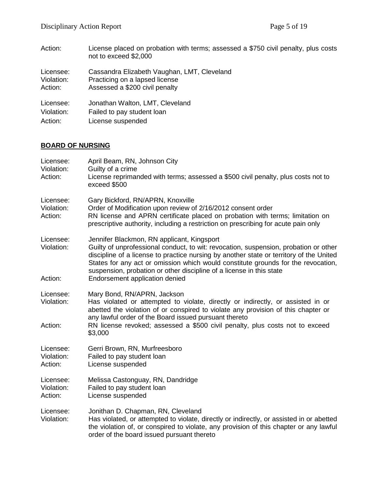| Action:    | License placed on probation with terms; assessed a \$750 civil penalty, plus costs<br>not to exceed \$2,000 |
|------------|-------------------------------------------------------------------------------------------------------------|
| Licensee:  | Cassandra Elizabeth Vaughan, LMT, Cleveland                                                                 |
| Violation: | Practicing on a lapsed license                                                                              |
| Action:    | Assessed a \$200 civil penalty                                                                              |
| Licensee:  | Jonathan Walton, LMT, Cleveland                                                                             |
| Violation: | Failed to pay student loan                                                                                  |
| Action:    | License suspended                                                                                           |

### **BOARD OF NURSING**

| Licensee:<br>Violation:<br>Action: | April Beam, RN, Johnson City<br>Guilty of a crime<br>License reprimanded with terms; assessed a \$500 civil penalty, plus costs not to<br>exceed \$500                                                                                                                                                                                                                                                                       |
|------------------------------------|------------------------------------------------------------------------------------------------------------------------------------------------------------------------------------------------------------------------------------------------------------------------------------------------------------------------------------------------------------------------------------------------------------------------------|
| Licensee:<br>Violation:<br>Action: | Gary Bickford, RN/APRN, Knoxville<br>Order of Modification upon review of 2/16/2012 consent order<br>RN license and APRN certificate placed on probation with terms; limitation on<br>prescriptive authority, including a restriction on prescribing for acute pain only                                                                                                                                                     |
| Licensee:<br>Violation:<br>Action: | Jennifer Blackmon, RN applicant, Kingsport<br>Guilty of unprofessional conduct, to wit: revocation, suspension, probation or other<br>discipline of a license to practice nursing by another state or territory of the United<br>States for any act or omission which would constitute grounds for the revocation,<br>suspension, probation or other discipline of a license in this state<br>Endorsement application denied |
|                                    |                                                                                                                                                                                                                                                                                                                                                                                                                              |
| Licensee:<br>Violation:            | Mary Bond, RN/APRN, Jackson<br>Has violated or attempted to violate, directly or indirectly, or assisted in or<br>abetted the violation of or conspired to violate any provision of this chapter or<br>any lawful order of the Board issued pursuant thereto                                                                                                                                                                 |
| Action:                            | RN license revoked; assessed a \$500 civil penalty, plus costs not to exceed<br>\$3,000                                                                                                                                                                                                                                                                                                                                      |
| Licensee:<br>Violation:<br>Action: | Gerri Brown, RN, Murfreesboro<br>Failed to pay student loan<br>License suspended                                                                                                                                                                                                                                                                                                                                             |
| Licensee:<br>Violation:<br>Action: | Melissa Castonguay, RN, Dandridge<br>Failed to pay student loan<br>License suspended                                                                                                                                                                                                                                                                                                                                         |
| Licensee:<br>Violation:            | Jonithan D. Chapman, RN, Cleveland<br>Has violated, or attempted to violate, directly or indirectly, or assisted in or abetted<br>the violation of, or conspired to violate, any provision of this chapter or any lawful<br>order of the board issued pursuant thereto                                                                                                                                                       |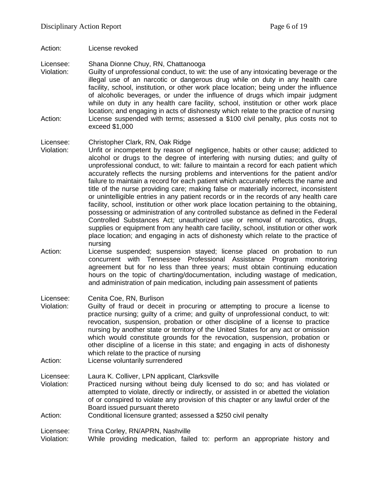Action: License revoked

Licensee: Shana Dionne Chuy, RN, Chattanooga

Violation: Guilty of unprofessional conduct, to wit: the use of any intoxicating beverage or the illegal use of an narcotic or dangerous drug while on duty in any health care facility, school, institution, or other work place location; being under the influence of alcoholic beverages, or under the influence of drugs which impair judgment while on duty in any health care facility, school, institution or other work place location; and engaging in acts of dishonesty which relate to the practice of nursing Action: License suspended with terms; assessed a \$100 civil penalty, plus costs not to exceed \$1,000

#### Licensee: Christopher Clark, RN, Oak Ridge

- Violation: Unfit or incompetent by reason of negligence, habits or other cause; addicted to alcohol or drugs to the degree of interfering with nursing duties; and guilty of unprofessional conduct, to wit: failure to maintain a record for each patient which accurately reflects the nursing problems and interventions for the patient and/or failure to maintain a record for each patient which accurately reflects the name and title of the nurse providing care; making false or materially incorrect, inconsistent or unintelligible entries in any patient records or in the records of any health care facility, school, institution or other work place location pertaining to the obtaining, possessing or administration of any controlled substance as defined in the Federal Controlled Substances Act; unauthorized use or removal of narcotics, drugs, supplies or equipment from any health care facility, school, institution or other work place location; and engaging in acts of dishonesty which relate to the practice of nursing
- Action: License suspended; suspension stayed; license placed on probation to run concurrent with Tennessee Professional Assistance Program monitoring agreement but for no less than three years; must obtain continuing education hours on the topic of charting/documentation, including wastage of medication, and administration of pain medication, including pain assessment of patients

Licensee: Cenita Coe, RN, Burlison

- Violation: Guilty of fraud or deceit in procuring or attempting to procure a license to practice nursing; guilty of a crime; and guilty of unprofessional conduct, to wit: revocation, suspension, probation or other discipline of a license to practice nursing by another state or territory of the United States for any act or omission which would constitute grounds for the revocation, suspension, probation or other discipline of a license in this state; and engaging in acts of dishonesty which relate to the practice of nursing
- Action: License voluntarily surrendered

Licensee: Laura K. Colliver, LPN applicant, Clarksville Violation: Practiced nursing without being duly licensed to do so; and has violated or attempted to violate, directly or indirectly, or assisted in or abetted the violation of or conspired to violate any provision of this chapter or any lawful order of the Board issued pursuant thereto

Action: Conditional licensure granted; assessed a \$250 civil penalty

Licensee: Trina Corley, RN/APRN, Nashville

Violation: While providing medication, failed to: perform an appropriate history and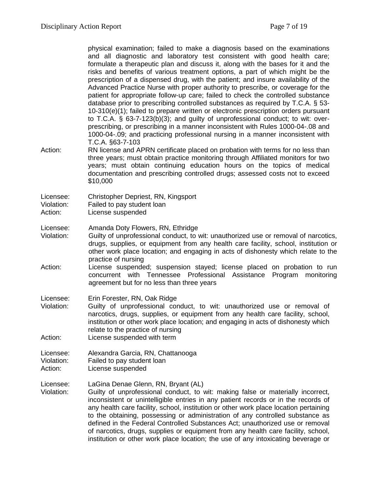| Action:                            | physical examination; failed to make a diagnosis based on the examinations<br>and all diagnostic and laboratory test consistent with good health care;<br>formulate a therapeutic plan and discuss it, along with the bases for it and the<br>risks and benefits of various treatment options, a part of which might be the<br>prescription of a dispensed drug, with the patient; and insure availability of the<br>Advanced Practice Nurse with proper authority to prescribe, or coverage for the<br>patient for appropriate follow-up care; failed to check the controlled substance<br>database prior to prescribing controlled substances as required by T.C.A. § 53-<br>10-310(e)(1); failed to prepare written or electronic prescription orders pursuant<br>to T.C.A. § 63-7-123(b)(3); and guilty of unprofessional conduct; to wit: over-<br>prescribing, or prescribing in a manner inconsistent with Rules 1000-04-.08 and<br>1000-04-.09; and practicing professional nursing in a manner inconsistent with<br>T.C.A. §63-7-103<br>RN license and APRN certificate placed on probation with terms for no less than<br>three years; must obtain practice monitoring through Affiliated monitors for two<br>years; must obtain continuing education hours on the topics of medical<br>documentation and prescribing controlled drugs; assessed costs not to exceed<br>\$10,000 |
|------------------------------------|--------------------------------------------------------------------------------------------------------------------------------------------------------------------------------------------------------------------------------------------------------------------------------------------------------------------------------------------------------------------------------------------------------------------------------------------------------------------------------------------------------------------------------------------------------------------------------------------------------------------------------------------------------------------------------------------------------------------------------------------------------------------------------------------------------------------------------------------------------------------------------------------------------------------------------------------------------------------------------------------------------------------------------------------------------------------------------------------------------------------------------------------------------------------------------------------------------------------------------------------------------------------------------------------------------------------------------------------------------------------------------------------|
| Licensee:<br>Violation:<br>Action: | Christopher Depriest, RN, Kingsport<br>Failed to pay student loan<br>License suspended                                                                                                                                                                                                                                                                                                                                                                                                                                                                                                                                                                                                                                                                                                                                                                                                                                                                                                                                                                                                                                                                                                                                                                                                                                                                                                     |
| Licensee:<br>Violation:<br>Action: | Amanda Doty Flowers, RN, Ethridge<br>Guilty of unprofessional conduct, to wit: unauthorized use or removal of narcotics,<br>drugs, supplies, or equipment from any health care facility, school, institution or<br>other work place location; and engaging in acts of dishonesty which relate to the<br>practice of nursing<br>License suspended; suspension stayed; license placed on probation to run<br>concurrent with Tennessee Professional<br>Assistance<br>Program<br>monitoring<br>agreement but for no less than three years                                                                                                                                                                                                                                                                                                                                                                                                                                                                                                                                                                                                                                                                                                                                                                                                                                                     |
| Licensee:<br>Violation:<br>Action: | Erin Forester, RN, Oak Ridge<br>Guilty of unprofessional conduct, to wit: unauthorized use or removal of<br>narcotics, drugs, supplies, or equipment from any health care facility, school,<br>institution or other work place location; and engaging in acts of dishonesty which<br>relate to the practice of nursing<br>License suspended with term                                                                                                                                                                                                                                                                                                                                                                                                                                                                                                                                                                                                                                                                                                                                                                                                                                                                                                                                                                                                                                      |
| Licensee:<br>Violation:<br>Action: | Alexandra Garcia, RN, Chattanooga<br>Failed to pay student loan<br>License suspended                                                                                                                                                                                                                                                                                                                                                                                                                                                                                                                                                                                                                                                                                                                                                                                                                                                                                                                                                                                                                                                                                                                                                                                                                                                                                                       |
| Licensee:<br>Violation:            | LaGina Denae Glenn, RN, Bryant (AL)<br>Guilty of unprofessional conduct, to wit: making false or materially incorrect,<br>inconsistent or unintelligible entries in any patient records or in the records of<br>any health care facility, school, institution or other work place location pertaining<br>to the obtaining, possessing or administration of any controlled substance as<br>defined in the Federal Controlled Substances Act; unauthorized use or removal<br>of narcotics, drugs, supplies or equipment from any health care facility, school,<br>institution or other work place location; the use of any intoxicating beverage or                                                                                                                                                                                                                                                                                                                                                                                                                                                                                                                                                                                                                                                                                                                                          |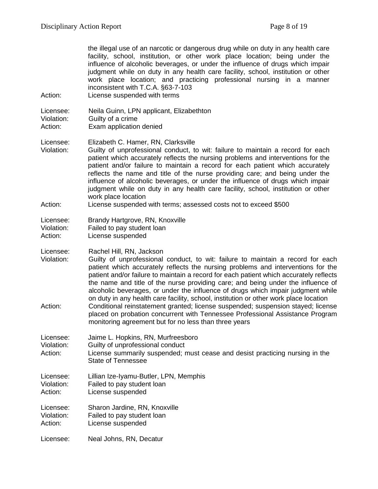| Action:                            | the illegal use of an narcotic or dangerous drug while on duty in any health care<br>facility, school, institution, or other work place location; being under the<br>influence of alcoholic beverages, or under the influence of drugs which impair<br>judgment while on duty in any health care facility, school, institution or other<br>work place location; and practicing professional nursing in a manner<br>inconsistent with T.C.A. §63-7-103<br>License suspended with terms                                                                                                                                                                                                                                                                                                    |
|------------------------------------|------------------------------------------------------------------------------------------------------------------------------------------------------------------------------------------------------------------------------------------------------------------------------------------------------------------------------------------------------------------------------------------------------------------------------------------------------------------------------------------------------------------------------------------------------------------------------------------------------------------------------------------------------------------------------------------------------------------------------------------------------------------------------------------|
| Licensee:<br>Violation:<br>Action: | Neila Guinn, LPN applicant, Elizabethton<br>Guilty of a crime<br>Exam application denied                                                                                                                                                                                                                                                                                                                                                                                                                                                                                                                                                                                                                                                                                                 |
| Licensee:<br>Violation:            | Elizabeth C. Hamer, RN, Clarksville<br>Guilty of unprofessional conduct, to wit: failure to maintain a record for each<br>patient which accurately reflects the nursing problems and interventions for the<br>patient and/or failure to maintain a record for each patient which accurately<br>reflects the name and title of the nurse providing care; and being under the<br>influence of alcoholic beverages, or under the influence of drugs which impair<br>judgment while on duty in any health care facility, school, institution or other<br>work place location                                                                                                                                                                                                                 |
| Action:                            | License suspended with terms; assessed costs not to exceed \$500                                                                                                                                                                                                                                                                                                                                                                                                                                                                                                                                                                                                                                                                                                                         |
| Licensee:<br>Violation:<br>Action: | Brandy Hartgrove, RN, Knoxville<br>Failed to pay student loan<br>License suspended                                                                                                                                                                                                                                                                                                                                                                                                                                                                                                                                                                                                                                                                                                       |
| Licensee:<br>Violation:<br>Action: | Rachel Hill, RN, Jackson<br>Guilty of unprofessional conduct, to wit: failure to maintain a record for each<br>patient which accurately reflects the nursing problems and interventions for the<br>patient and/or failure to maintain a record for each patient which accurately reflects<br>the name and title of the nurse providing care; and being under the influence of<br>alcoholic beverages, or under the influence of drugs which impair judgment while<br>on duty in any health care facility, school, institution or other work place location<br>Conditional reinstatement granted; license suspended; suspension stayed; license<br>placed on probation concurrent with Tennessee Professional Assistance Program<br>monitoring agreement but for no less than three years |
| Licensee:<br>Violation:<br>Action: | Jaime L. Hopkins, RN, Murfreesboro<br>Guilty of unprofessional conduct<br>License summarily suspended; must cease and desist practicing nursing in the<br><b>State of Tennessee</b>                                                                                                                                                                                                                                                                                                                                                                                                                                                                                                                                                                                                      |
| Licensee:<br>Violation:<br>Action: | Lillian Ize-Iyamu-Butler, LPN, Memphis<br>Failed to pay student loan<br>License suspended                                                                                                                                                                                                                                                                                                                                                                                                                                                                                                                                                                                                                                                                                                |
| Licensee:<br>Violation:<br>Action: | Sharon Jardine, RN, Knoxville<br>Failed to pay student loan<br>License suspended                                                                                                                                                                                                                                                                                                                                                                                                                                                                                                                                                                                                                                                                                                         |
| Licensee:                          | Neal Johns, RN, Decatur                                                                                                                                                                                                                                                                                                                                                                                                                                                                                                                                                                                                                                                                                                                                                                  |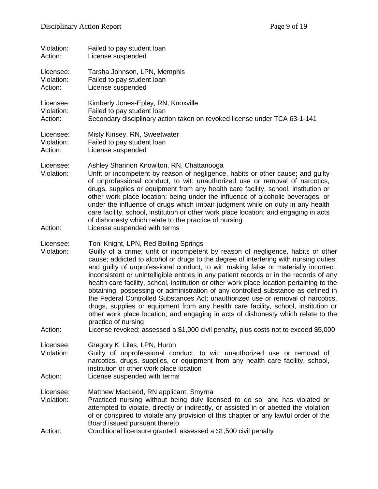| Violation:<br>Action:              | Failed to pay student loan<br>License suspended                                                                                                                                                                                                                                                                                                                                                                                                                                                                                                                                                                                                                                                                                                                                                                                                                                                                                                                   |
|------------------------------------|-------------------------------------------------------------------------------------------------------------------------------------------------------------------------------------------------------------------------------------------------------------------------------------------------------------------------------------------------------------------------------------------------------------------------------------------------------------------------------------------------------------------------------------------------------------------------------------------------------------------------------------------------------------------------------------------------------------------------------------------------------------------------------------------------------------------------------------------------------------------------------------------------------------------------------------------------------------------|
| Licensee:<br>Violation:<br>Action: | Tarsha Johnson, LPN, Memphis<br>Failed to pay student loan<br>License suspended                                                                                                                                                                                                                                                                                                                                                                                                                                                                                                                                                                                                                                                                                                                                                                                                                                                                                   |
| Licensee:<br>Violation:<br>Action: | Kimberly Jones-Epley, RN, Knoxville<br>Failed to pay student loan<br>Secondary disciplinary action taken on revoked license under TCA 63-1-141                                                                                                                                                                                                                                                                                                                                                                                                                                                                                                                                                                                                                                                                                                                                                                                                                    |
| Licensee:<br>Violation:<br>Action: | Misty Kinsey, RN, Sweetwater<br>Failed to pay student loan<br>License suspended                                                                                                                                                                                                                                                                                                                                                                                                                                                                                                                                                                                                                                                                                                                                                                                                                                                                                   |
| Licensee:<br>Violation:<br>Action: | Ashley Shannon Knowlton, RN, Chattanooga<br>Unfit or incompetent by reason of negligence, habits or other cause; and guilty<br>of unprofessional conduct, to wit: unauthorized use or removal of narcotics,<br>drugs, supplies or equipment from any health care facility, school, institution or<br>other work place location; being under the influence of alcoholic beverages, or<br>under the influence of drugs which impair judgment while on duty in any health<br>care facility, school, institution or other work place location; and engaging in acts<br>of dishonesty which relate to the practice of nursing<br>License suspended with terms                                                                                                                                                                                                                                                                                                          |
| Licensee:<br>Violation:<br>Action: | Toni Knight, LPN, Red Boiling Springs<br>Guilty of a crime; unfit or incompetent by reason of negligence, habits or other<br>cause; addicted to alcohol or drugs to the degree of interfering with nursing duties;<br>and guilty of unprofessional conduct, to wit: making false or materially incorrect,<br>inconsistent or unintelligible entries in any patient records or in the records of any<br>health care facility, school, institution or other work place location pertaining to the<br>obtaining, possessing or administration of any controlled substance as defined in<br>the Federal Controlled Substances Act; unauthorized use or removal of narcotics,<br>drugs, supplies or equipment from any health care facility, school, institution or<br>other work place location; and engaging in acts of dishonesty which relate to the<br>practice of nursing<br>License revoked; assessed a \$1,000 civil penalty, plus costs not to exceed \$5,000 |
| Licensee:<br>Violation:            | Gregory K. Liles, LPN, Huron<br>Guilty of unprofessional conduct, to wit: unauthorized use or removal of<br>narcotics, drugs, supplies, or equipment from any health care facility, school,                                                                                                                                                                                                                                                                                                                                                                                                                                                                                                                                                                                                                                                                                                                                                                       |
| Action:                            | institution or other work place location<br>License suspended with terms                                                                                                                                                                                                                                                                                                                                                                                                                                                                                                                                                                                                                                                                                                                                                                                                                                                                                          |
| Licensee:<br>Violation:<br>Action: | Matthew MacLeod, RN applicant, Smyrna<br>Practiced nursing without being duly licensed to do so; and has violated or<br>attempted to violate, directly or indirectly, or assisted in or abetted the violation<br>of or conspired to violate any provision of this chapter or any lawful order of the<br>Board issued pursuant thereto<br>Conditional licensure granted; assessed a \$1,500 civil penalty                                                                                                                                                                                                                                                                                                                                                                                                                                                                                                                                                          |
|                                    |                                                                                                                                                                                                                                                                                                                                                                                                                                                                                                                                                                                                                                                                                                                                                                                                                                                                                                                                                                   |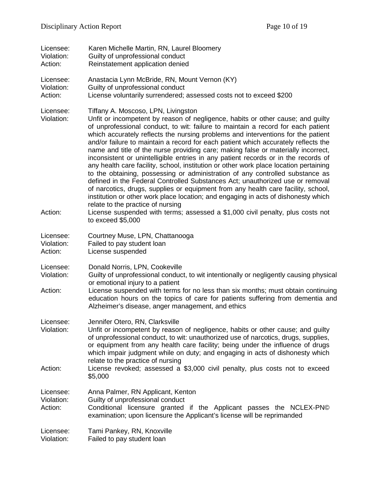| Licensee:                          | Karen Michelle Martin, RN, Laurel Bloomery                                                                                                                                                                                                                                                                                                                                                                                                                                                                                                                                                                                                                                                                                                                                                                                                                                                                                                                                                                                                                                                                                                         |
|------------------------------------|----------------------------------------------------------------------------------------------------------------------------------------------------------------------------------------------------------------------------------------------------------------------------------------------------------------------------------------------------------------------------------------------------------------------------------------------------------------------------------------------------------------------------------------------------------------------------------------------------------------------------------------------------------------------------------------------------------------------------------------------------------------------------------------------------------------------------------------------------------------------------------------------------------------------------------------------------------------------------------------------------------------------------------------------------------------------------------------------------------------------------------------------------|
| Violation:                         | Guilty of unprofessional conduct                                                                                                                                                                                                                                                                                                                                                                                                                                                                                                                                                                                                                                                                                                                                                                                                                                                                                                                                                                                                                                                                                                                   |
| Action:                            | Reinstatement application denied                                                                                                                                                                                                                                                                                                                                                                                                                                                                                                                                                                                                                                                                                                                                                                                                                                                                                                                                                                                                                                                                                                                   |
| Licensee:                          | Anastacia Lynn McBride, RN, Mount Vernon (KY)                                                                                                                                                                                                                                                                                                                                                                                                                                                                                                                                                                                                                                                                                                                                                                                                                                                                                                                                                                                                                                                                                                      |
| Violation:                         | Guilty of unprofessional conduct                                                                                                                                                                                                                                                                                                                                                                                                                                                                                                                                                                                                                                                                                                                                                                                                                                                                                                                                                                                                                                                                                                                   |
| Action:                            | License voluntarily surrendered; assessed costs not to exceed \$200                                                                                                                                                                                                                                                                                                                                                                                                                                                                                                                                                                                                                                                                                                                                                                                                                                                                                                                                                                                                                                                                                |
| Licensee:<br>Violation:<br>Action: | Tiffany A. Moscoso, LPN, Livingston<br>Unfit or incompetent by reason of negligence, habits or other cause; and guilty<br>of unprofessional conduct, to wit: failure to maintain a record for each patient<br>which accurately reflects the nursing problems and interventions for the patient<br>and/or failure to maintain a record for each patient which accurately reflects the<br>name and title of the nurse providing care; making false or materially incorrect,<br>inconsistent or unintelligible entries in any patient records or in the records of<br>any health care facility, school, institution or other work place location pertaining<br>to the obtaining, possessing or administration of any controlled substance as<br>defined in the Federal Controlled Substances Act; unauthorized use or removal<br>of narcotics, drugs, supplies or equipment from any health care facility, school,<br>institution or other work place location; and engaging in acts of dishonesty which<br>relate to the practice of nursing<br>License suspended with terms; assessed a \$1,000 civil penalty, plus costs not<br>to exceed $$5,000$ |
| Licensee:                          | Courtney Muse, LPN, Chattanooga                                                                                                                                                                                                                                                                                                                                                                                                                                                                                                                                                                                                                                                                                                                                                                                                                                                                                                                                                                                                                                                                                                                    |
| Violation:                         | Failed to pay student loan                                                                                                                                                                                                                                                                                                                                                                                                                                                                                                                                                                                                                                                                                                                                                                                                                                                                                                                                                                                                                                                                                                                         |
| Action:                            | License suspended                                                                                                                                                                                                                                                                                                                                                                                                                                                                                                                                                                                                                                                                                                                                                                                                                                                                                                                                                                                                                                                                                                                                  |
| Licensee:<br>Violation:<br>Action: | Donald Norris, LPN, Cookeville<br>Guilty of unprofessional conduct, to wit intentionally or negligently causing physical<br>or emotional injury to a patient<br>License suspended with terms for no less than six months; must obtain continuing<br>education hours on the topics of care for patients suffering from dementia and<br>Alzheimer's disease, anger management, and ethics                                                                                                                                                                                                                                                                                                                                                                                                                                                                                                                                                                                                                                                                                                                                                            |
| Licensee:<br>Violation:<br>Action: | Jennifer Otero, RN, Clarksville<br>Unfit or incompetent by reason of negligence, habits or other cause; and guilty<br>of unprofessional conduct, to wit: unauthorized use of narcotics, drugs, supplies,<br>or equipment from any health care facility; being under the influence of drugs<br>which impair judgment while on duty; and engaging in acts of dishonesty which<br>relate to the practice of nursing<br>License revoked; assessed a \$3,000 civil penalty, plus costs not to exceed<br>\$5,000                                                                                                                                                                                                                                                                                                                                                                                                                                                                                                                                                                                                                                         |
| Licensee:<br>Violation:<br>Action: | Anna Palmer, RN Applicant, Kenton<br>Guilty of unprofessional conduct<br>Conditional licensure granted if the Applicant passes the NCLEX-PN©<br>examination; upon licensure the Applicant's license will be reprimanded                                                                                                                                                                                                                                                                                                                                                                                                                                                                                                                                                                                                                                                                                                                                                                                                                                                                                                                            |
| Licensee:                          | Tami Pankey, RN, Knoxville                                                                                                                                                                                                                                                                                                                                                                                                                                                                                                                                                                                                                                                                                                                                                                                                                                                                                                                                                                                                                                                                                                                         |
| Violation:                         | Failed to pay student loan                                                                                                                                                                                                                                                                                                                                                                                                                                                                                                                                                                                                                                                                                                                                                                                                                                                                                                                                                                                                                                                                                                                         |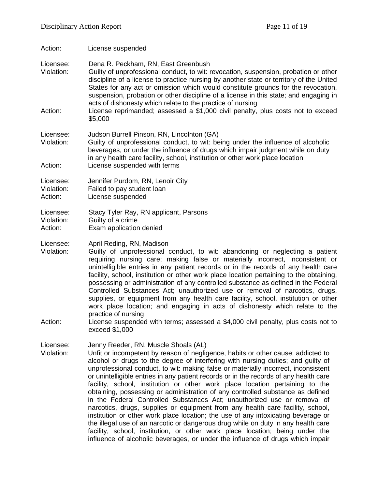Action: License suspended

Licensee: Dena R. Peckham, RN, East Greenbush

Violation: Guilty of unprofessional conduct, to wit: revocation, suspension, probation or other discipline of a license to practice nursing by another state or territory of the United States for any act or omission which would constitute grounds for the revocation, suspension, probation or other discipline of a license in this state; and engaging in acts of dishonesty which relate to the practice of nursing

Action: License reprimanded; assessed a \$1,000 civil penalty, plus costs not to exceed \$5,000

#### Licensee: Judson Burrell Pinson, RN, Lincolnton (GA)

Violation: Guilty of unprofessional conduct, to wit: being under the influence of alcoholic beverages, or under the influence of drugs which impair judgment while on duty in any health care facility, school, institution or other work place location Action: License suspended with terms

Licensee: Jennifer Purdom, RN, Lenoir City

- Violation: Failed to pay student loan
- Action: License suspended

Licensee: Stacy Tyler Ray, RN applicant, Parsons Violation: Guilty of a crime<br>Action: Exam application Exam application denied

Licensee: April Reding, RN, Madison

Violation: Guilty of unprofessional conduct, to wit: abandoning or neglecting a patient requiring nursing care; making false or materially incorrect, inconsistent or unintelligible entries in any patient records or in the records of any health care facility, school, institution or other work place location pertaining to the obtaining, possessing or administration of any controlled substance as defined in the Federal Controlled Substances Act; unauthorized use or removal of narcotics, drugs, supplies, or equipment from any health care facility, school, institution or other work place location; and engaging in acts of dishonesty which relate to the practice of nursing

Action: License suspended with terms; assessed a \$4,000 civil penalty, plus costs not to exceed \$1,000

Licensee: Jenny Reeder, RN, Muscle Shoals (AL)

Violation: Unfit or incompetent by reason of negligence, habits or other cause; addicted to alcohol or drugs to the degree of interfering with nursing duties; and guilty of unprofessional conduct, to wit: making false or materially incorrect, inconsistent or unintelligible entries in any patient records or in the records of any health care facility, school, institution or other work place location pertaining to the obtaining, possessing or administration of any controlled substance as defined in the Federal Controlled Substances Act; unauthorized use or removal of narcotics, drugs, supplies or equipment from any health care facility, school, institution or other work place location; the use of any intoxicating beverage or the illegal use of an narcotic or dangerous drug while on duty in any health care facility, school, institution, or other work place location; being under the influence of alcoholic beverages, or under the influence of drugs which impair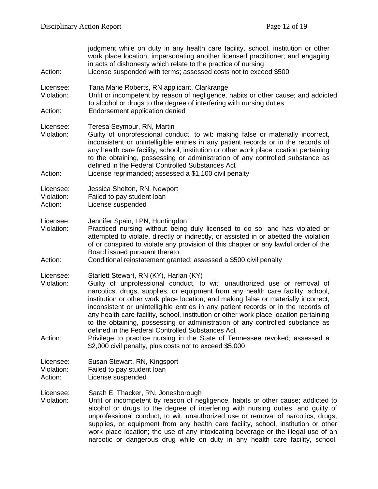| Action:                            | judgment while on duty in any health care facility, school, institution or other<br>work place location; impersonating another licensed practitioner; and engaging<br>in acts of dishonesty which relate to the practice of nursing<br>License suspended with terms; assessed costs not to exceed \$500                                                                                                                                                                                                                                                                                                                                                                                                                                                    |
|------------------------------------|------------------------------------------------------------------------------------------------------------------------------------------------------------------------------------------------------------------------------------------------------------------------------------------------------------------------------------------------------------------------------------------------------------------------------------------------------------------------------------------------------------------------------------------------------------------------------------------------------------------------------------------------------------------------------------------------------------------------------------------------------------|
| Licensee:<br>Violation:            | Tana Marie Roberts, RN applicant, Clarkrange<br>Unfit or incompetent by reason of negligence, habits or other cause; and addicted<br>to alcohol or drugs to the degree of interfering with nursing duties                                                                                                                                                                                                                                                                                                                                                                                                                                                                                                                                                  |
| Action:                            | Endorsement application denied                                                                                                                                                                                                                                                                                                                                                                                                                                                                                                                                                                                                                                                                                                                             |
| Licensee:<br>Violation:            | Teresa Seymour, RN, Martin<br>Guilty of unprofessional conduct, to wit: making false or materially incorrect,<br>inconsistent or unintelligible entries in any patient records or in the records of<br>any health care facility, school, institution or other work place location pertaining<br>to the obtaining, possessing or administration of any controlled substance as<br>defined in the Federal Controlled Substances Act                                                                                                                                                                                                                                                                                                                          |
| Action:                            | License reprimanded; assessed a \$1,100 civil penalty                                                                                                                                                                                                                                                                                                                                                                                                                                                                                                                                                                                                                                                                                                      |
| Licensee:<br>Violation:<br>Action: | Jessica Shelton, RN, Newport<br>Failed to pay student loan<br>License suspended                                                                                                                                                                                                                                                                                                                                                                                                                                                                                                                                                                                                                                                                            |
| Licensee:<br>Violation:            | Jennifer Spain, LPN, Huntingdon<br>Practiced nursing without being duly licensed to do so; and has violated or<br>attempted to violate, directly or indirectly, or assisted in or abetted the violation<br>of or conspired to violate any provision of this chapter or any lawful order of the<br>Board issued pursuant thereto                                                                                                                                                                                                                                                                                                                                                                                                                            |
| Action:                            | Conditional reinstatement granted; assessed a \$500 civil penalty                                                                                                                                                                                                                                                                                                                                                                                                                                                                                                                                                                                                                                                                                          |
| Licensee:<br>Violation:<br>Action: | Starlett Stewart, RN (KY), Harlan (KY)<br>Guilty of unprofessional conduct, to wit: unauthorized use or removal of<br>narcotics, drugs, supplies, or equipment from any health care facility, school,<br>institution or other work place location; and making false or materially incorrect,<br>inconsistent or unintelligible entries in any patient records or in the records of<br>any health care facility, school, institution or other work place location pertaining<br>to the obtaining, possessing or administration of any controlled substance as<br>defined in the Federal Controlled Substances Act<br>Privilege to practice nursing in the State of Tennessee revoked; assessed a<br>\$2,000 civil penalty, plus costs not to exceed \$5,000 |
| Licensee:<br>Violation:<br>Action: | Susan Stewart, RN, Kingsport<br>Failed to pay student loan<br>License suspended                                                                                                                                                                                                                                                                                                                                                                                                                                                                                                                                                                                                                                                                            |
| Licensee:<br>Violation:            | Sarah E. Thacker, RN, Jonesborough<br>Unfit or incompetent by reason of negligence, habits or other cause; addicted to<br>alcohol or drugs to the degree of interfering with nursing duties; and guilty of<br>unprofessional conduct, to wit: unauthorized use or removal of narcotics, drugs,<br>supplies, or equipment from any health care facility, school, institution or other<br>work place location; the use of any intoxicating beverage or the illegal use of an<br>narcotic or dangerous drug while on duty in any health care facility, school,                                                                                                                                                                                                |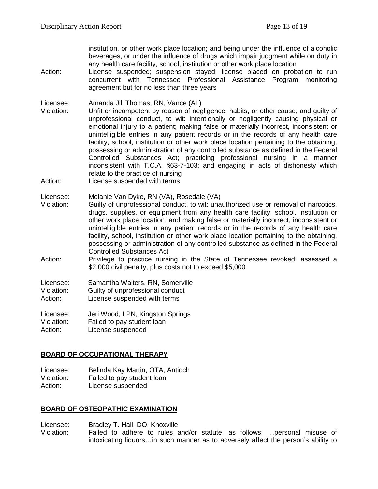institution, or other work place location; and being under the influence of alcoholic beverages, or under the influence of drugs which impair judgment while on duty in any health care facility, school, institution or other work place location

- Action: License suspended; suspension stayed; license placed on probation to run concurrent with Tennessee Professional Assistance Program monitoring agreement but for no less than three years
- Licensee: Amanda Jill Thomas, RN, Vance (AL)
- Unfit or incompetent by reason of negligence, habits, or other cause; and guilty of unprofessional conduct, to wit: intentionally or negligently causing physical or emotional injury to a patient; making false or materially incorrect, inconsistent or unintelligible entries in any patient records or in the records of any health care facility, school, institution or other work place location pertaining to the obtaining, possessing or administration of any controlled substance as defined in the Federal Controlled Substances Act; practicing professional nursing in a manner inconsistent with T.C.A. §63-7-103; and engaging in acts of dishonesty which relate to the practice of nursing
- Action: License suspended with terms

Licensee: Melanie Van Dyke, RN (VA), Rosedale (VA)

- Violation: Guilty of unprofessional conduct, to wit: unauthorized use or removal of narcotics, drugs, supplies, or equipment from any health care facility, school, institution or other work place location; and making false or materially incorrect, inconsistent or unintelligible entries in any patient records or in the records of any health care facility, school, institution or other work place location pertaining to the obtaining, possessing or administration of any controlled substance as defined in the Federal Controlled Substances Act
- Action: Privilege to practice nursing in the State of Tennessee revoked; assessed a \$2,000 civil penalty, plus costs not to exceed \$5,000

| Licensee:  | Samantha Walters, RN, Somerville |
|------------|----------------------------------|
| Violation: | Guilty of unprofessional conduct |
| Action:    | License suspended with terms     |

Licensee: Jeri Wood, LPN, Kingston Springs Violation: Failed to pay student loan Action: License suspended

### **BOARD OF OCCUPATIONAL THERAPY**

Licensee: Belinda Kay Martin, OTA, Antioch Violation: Failed to pay student loan Action: License suspended

### **BOARD OF OSTEOPATHIC EXAMINATION**

Licensee: Bradley T. Hall, DO, Knoxville

Violation: Failed to adhere to rules and/or statute, as follows: …personal misuse of intoxicating liquors…in such manner as to adversely affect the person's ability to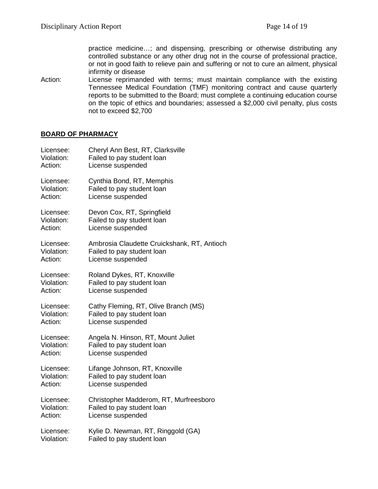practice medicine…; and dispensing, prescribing or otherwise distributing any controlled substance or any other drug not in the course of professional practice, or not in good faith to relieve pain and suffering or not to cure an ailment, physical infirmity or disease

Action: License reprimanded with terms; must maintain compliance with the existing Tennessee Medical Foundation (TMF) monitoring contract and cause quarterly reports to be submitted to the Board; must complete a continuing education course on the topic of ethics and boundaries; assessed a \$2,000 civil penalty, plus costs not to exceed \$2,700

#### **BOARD OF PHARMACY**

| Licensee:  | Cheryl Ann Best, RT, Clarksville            |
|------------|---------------------------------------------|
| Violation: | Failed to pay student loan                  |
| Action:    | License suspended                           |
| Licensee:  | Cynthia Bond, RT, Memphis                   |
| Violation: | Failed to pay student loan                  |
| Action:    | License suspended                           |
| Licensee:  | Devon Cox, RT, Springfield                  |
| Violation: | Failed to pay student loan                  |
| Action:    | License suspended                           |
| Licensee:  | Ambrosia Claudette Cruickshank, RT, Antioch |
| Violation: | Failed to pay student loan                  |
| Action:    | License suspended                           |
| Licensee:  | Roland Dykes, RT, Knoxville                 |
| Violation: | Failed to pay student loan                  |
| Action:    | License suspended                           |
| Licensee:  | Cathy Fleming, RT, Olive Branch (MS)        |
| Violation: | Failed to pay student loan                  |
| Action:    | License suspended                           |
| Licensee:  | Angela N. Hinson, RT, Mount Juliet          |
| Violation: | Failed to pay student loan                  |
| Action:    | License suspended                           |
| Licensee:  | Lifange Johnson, RT, Knoxville              |
| Violation: | Failed to pay student loan                  |
| Action:    | License suspended                           |
| Licensee:  | Christopher Madderom, RT, Murfreesboro      |
| Violation: | Failed to pay student loan                  |
| Action:    | License suspended                           |
| Licensee:  | Kylie D. Newman, RT, Ringgold (GA)          |
| Violation: | Failed to pay student loan                  |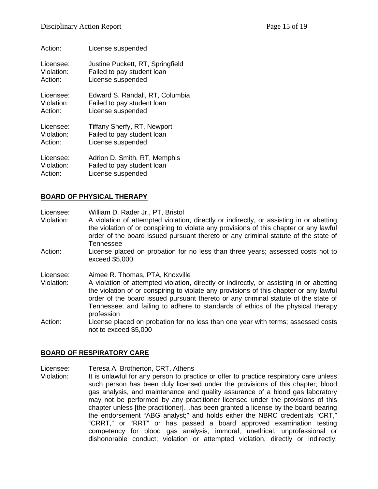| Action:    | License suspended                |
|------------|----------------------------------|
| Licensee:  | Justine Puckett, RT, Springfield |
| Violation: | Failed to pay student loan       |
| Action:    | License suspended                |
| Licensee:  | Edward S. Randall, RT, Columbia  |
| Violation: | Failed to pay student loan       |
| Action:    | License suspended                |
| Licensee:  | Tiffany Sherfy, RT, Newport      |
| Violation: | Failed to pay student loan       |
| Action:    | License suspended                |
| Licensee:  | Adrion D. Smith, RT, Memphis     |
| Violation: | Failed to pay student loan       |
| Action:    | License suspended                |

### **BOARD OF PHYSICAL THERAPY**

Licensee: William D. Rader Jr., PT, Bristol

Violation: A violation of attempted violation, directly or indirectly, or assisting in or abetting the violation of or conspiring to violate any provisions of this chapter or any lawful order of the board issued pursuant thereto or any criminal statute of the state of Tennessee

Action: License placed on probation for no less than three years; assessed costs not to exceed \$5,000

Licensee: Aimee R. Thomas, PTA, Knoxville

- Violation: A violation of attempted violation, directly or indirectly, or assisting in or abetting the violation of or conspiring to violate any provisions of this chapter or any lawful order of the board issued pursuant thereto or any criminal statute of the state of Tennessee; and failing to adhere to standards of ethics of the physical therapy profession
- Action: License placed on probation for no less than one year with terms; assessed costs not to exceed \$5,000

#### **BOARD OF RESPIRATORY CARE**

Licensee: Teresa A. Brotherton, CRT, Athens

Violation: It is unlawful for any person to practice or offer to practice respiratory care unless such person has been duly licensed under the provisions of this chapter; blood gas analysis, and maintenance and quality assurance of a blood gas laboratory may not be performed by any practitioner licensed under the provisions of this chapter unless [the practitioner]…has been granted a license by the board bearing the endorsement "ABG analyst;" and holds either the NBRC credentials "CRT," "CRRT," or "RRT" or has passed a board approved examination testing competency for blood gas analysis; immoral, unethical, unprofessional or dishonorable conduct; violation or attempted violation, directly or indirectly,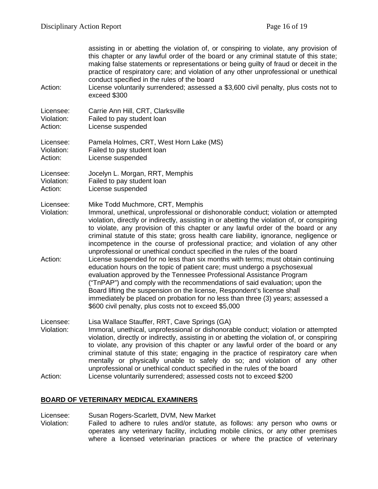assisting in or abetting the violation of, or conspiring to violate, any provision of this chapter or any lawful order of the board or any criminal statute of this state; making false statements or representations or being guilty of fraud or deceit in the practice of respiratory care; and violation of any other unprofessional or unethical conduct specified in the rules of the board Action: License voluntarily surrendered; assessed a \$3,600 civil penalty, plus costs not to exceed \$300 Licensee: Carrie Ann Hill, CRT, Clarksville Violation: Failed to pay student loan Action: License suspended Licensee: Pamela Holmes, CRT, West Horn Lake (MS) Violation: Failed to pay student loan Action: License suspended Licensee: Jocelyn L. Morgan, RRT, Memphis Violation: Failed to pay student loan Action: License suspended Licensee: Mike Todd Muchmore, CRT, Memphis Violation: Immoral, unethical, unprofessional or dishonorable conduct; violation or attempted violation, directly or indirectly, assisting in or abetting the violation of, or conspiring to violate, any provision of this chapter or any lawful order of the board or any criminal statute of this state; gross health care liability, ignorance, negligence or incompetence in the course of professional practice; and violation of any other unprofessional or unethical conduct specified in the rules of the board Action: License suspended for no less than six months with terms; must obtain continuing education hours on the topic of patient care; must undergo a psychosexual evaluation approved by the Tennessee Professional Assistance Program ("TnPAP") and comply with the recommendations of said evaluation; upon the Board lifting the suspension on the license, Respondent's license shall immediately be placed on probation for no less than three (3) years; assessed a \$600 civil penalty, plus costs not to exceed \$5,000 Licensee: Lisa Wallace Stauffer, RRT, Cave Springs (GA) Violation: Immoral, unethical, unprofessional or dishonorable conduct; violation or attempted violation, directly or indirectly, assisting in or abetting the violation of, or conspiring to violate, any provision of this chapter or any lawful order of the board or any criminal statute of this state; engaging in the practice of respiratory care when mentally or physically unable to safely do so; and violation of any other unprofessional or unethical conduct specified in the rules of the board Action: License voluntarily surrendered; assessed costs not to exceed \$200

#### **BOARD OF VETERINARY MEDICAL EXAMINERS**

Licensee: Susan Rogers-Scarlett, DVM, New Market Violation: Failed to adhere to rules and/or statute, as follows: any person who owns or operates any veterinary facility, including mobile clinics, or any other premises where a licensed veterinarian practices or where the practice of veterinary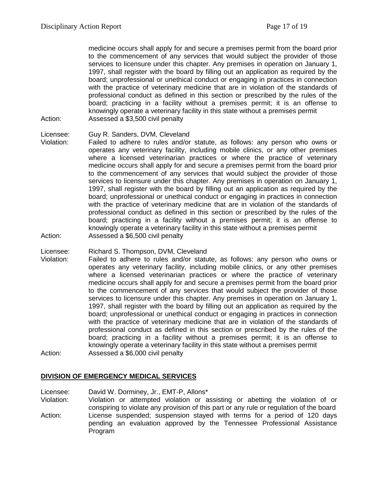medicine occurs shall apply for and secure a premises permit from the board prior to the commencement of any services that would subject the provider of those services to licensure under this chapter. Any premises in operation on January 1, 1997, shall register with the board by filling out an application as required by the board; unprofessional or unethical conduct or engaging in practices in connection with the practice of veterinary medicine that are in violation of the standards of professional conduct as defined in this section or prescribed by the rules of the board; practicing in a facility without a premises permit; it is an offense to knowingly operate a veterinary facility in this state without a premises permit Action: Assessed a \$3,500 civil penalty

- Licensee: Guy R. Sanders, DVM, Cleveland
- Violation: Failed to adhere to rules and/or statute, as follows: any person who owns or operates any veterinary facility, including mobile clinics, or any other premises where a licensed veterinarian practices or where the practice of veterinary medicine occurs shall apply for and secure a premises permit from the board prior to the commencement of any services that would subject the provider of those services to licensure under this chapter. Any premises in operation on January 1, 1997, shall register with the board by filling out an application as required by the board; unprofessional or unethical conduct or engaging in practices in connection with the practice of veterinary medicine that are in violation of the standards of professional conduct as defined in this section or prescribed by the rules of the board; practicing in a facility without a premises permit; it is an offense to knowingly operate a veterinary facility in this state without a premises permit Action: Assessed a \$6,500 civil penalty
- Licensee: Richard S. Thompson, DVM, Cleveland
- Violation: Failed to adhere to rules and/or statute, as follows: any person who owns or operates any veterinary facility, including mobile clinics, or any other premises where a licensed veterinarian practices or where the practice of veterinary medicine occurs shall apply for and secure a premises permit from the board prior to the commencement of any services that would subject the provider of those services to licensure under this chapter. Any premises in operation on January 1, 1997, shall register with the board by filling out an application as required by the board; unprofessional or unethical conduct or engaging in practices in connection with the practice of veterinary medicine that are in violation of the standards of professional conduct as defined in this section or prescribed by the rules of the board; practicing in a facility without a premises permit; it is an offense to knowingly operate a veterinary facility in this state without a premises permit Action: Assessed a \$6,000 civil penalty

#### **DIVISION OF EMERGENCY MEDICAL SERVICES**

Licensee: David W. Dorminey, Jr., EMT-P, Allons\* Violation: Violation or attempted violation or assisting or abetting the violation of or conspiring to violate any provision of this part or any rule or regulation of the board Action: License suspended; suspension stayed with terms for a period of 120 days pending an evaluation approved by the Tennessee Professional Assistance Program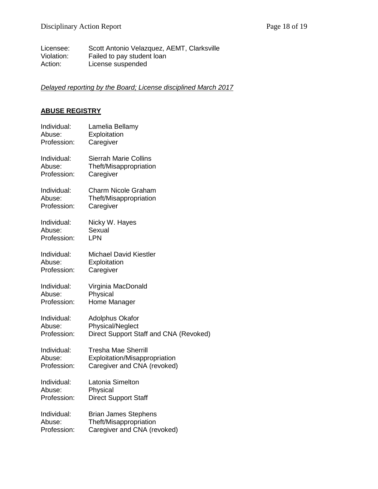Licensee: Scott Antonio Velazquez, AEMT, Clarksville Violation: Failed to pay student loan Action: License suspended

### *Delayed reporting by the Board; License disciplined March 2017*

### **ABUSE REGISTRY**

| Individual: | Lamelia Bellamy                        |
|-------------|----------------------------------------|
| Abuse:      | Exploitation                           |
| Profession: | Caregiver                              |
| Individual: | <b>Sierrah Marie Collins</b>           |
| Abuse:      | Theft/Misappropriation                 |
| Profession: | Caregiver                              |
| Individual: | <b>Charm Nicole Graham</b>             |
| Abuse:      | Theft/Misappropriation                 |
| Profession: | Caregiver                              |
| Individual: | Nicky W. Hayes                         |
| Abuse:      | Sexual                                 |
| Profession: | <b>LPN</b>                             |
| Individual: | <b>Michael David Kiestler</b>          |
| Abuse:      | Exploitation                           |
| Profession: | Caregiver                              |
| Individual: | Virginia MacDonald                     |
| Abuse:      | Physical                               |
| Profession: | Home Manager                           |
| Individual: | <b>Adolphus Okafor</b>                 |
| Abuse:      | <b>Physical/Neglect</b>                |
| Profession: | Direct Support Staff and CNA (Revoked) |
| Individual: | <b>Tresha Mae Sherrill</b>             |
| Abuse:      | Exploitation/Misappropriation          |
| Profession: | Caregiver and CNA (revoked)            |
| Individual: | Latonia Simelton                       |
| Abuse:      | Physical                               |
| Profession: | <b>Direct Support Staff</b>            |
| Individual: | <b>Brian James Stephens</b>            |
| Abuse:      | Theft/Misappropriation                 |
| Profession: | Caregiver and CNA (revoked)            |